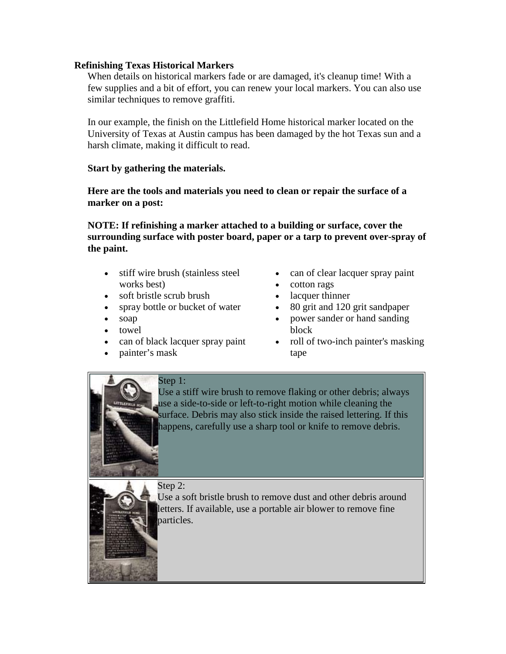## **Refinishing Texas Historical Markers**

When details on historical markers fade or are damaged, it's cleanup time! With a few supplies and a bit of effort, you can renew your local markers. You can also use similar techniques to remove graffiti.

In our example, the finish on the Littlefield Home historical marker located on the University of Texas at Austin campus has been damaged by the hot Texas sun and a harsh climate, making it difficult to read.

## **Start by gathering the materials.**

**Here are the tools and materials you need to clean or repair the surface of a marker on a post:**

**NOTE: If refinishing a marker attached to a building or surface, cover the surrounding surface with poster board, paper or a tarp to prevent over-spray of the paint.**

- stiff wire brush (stainless steel works best)
- soft bristle scrub brush
- spray bottle or bucket of water
- soap
- towel
- can of black lacquer spray paint
- painter's mask
- can of clear lacquer spray paint
- cotton rags
- lacquer thinner
- 80 grit and 120 grit sandpaper
- power sander or hand sanding block
- roll of two-inch painter's masking tape

Step 1: Use a stiff wire brush to remove flaking or other debris; always use a side-to-side or left-to-right motion while cleaning the surface. Debris may also stick inside the raised lettering. If this happens, carefully use a sharp tool or knife to remove debris.



Step 2:

Use a soft bristle brush to remove dust and other debris around letters. If available, use a portable air blower to remove fine particles.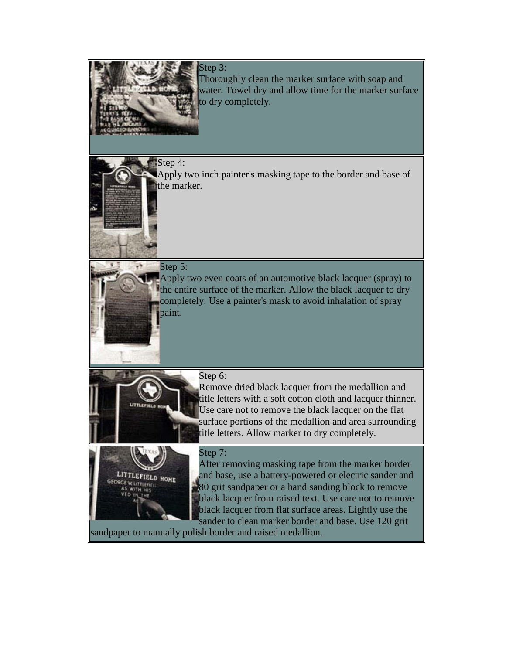

Step 3: Thoroughly clean the marker surface with soap and water. Towel dry and allow time for the marker surface to dry completely.

Step 4: Apply two inch painter's masking tape to the border and base of

the marker.



Apply two even coats of an automotive black lacquer (spray) to the entire surface of the marker. Allow the black lacquer to dry completely. Use a painter's mask to avoid inhalation of spray paint.



LITTLEFIELD HOME

Step 6:

Remove dried black lacquer from the medallion and title letters with a soft cotton cloth and lacquer thinner. Use care not to remove the black lacquer on the flat surface portions of the medallion and area surrounding title letters. Allow marker to dry completely.

## Step 7:

After removing masking tape from the marker border and base, use a battery-powered or electric sander and 80 grit sandpaper or a hand sanding block to remove black lacquer from raised text. Use care not to remove black lacquer from flat surface areas. Lightly use the sander to clean marker border and base. Use 120 grit

sandpaper to manually polish border and raised medallion.